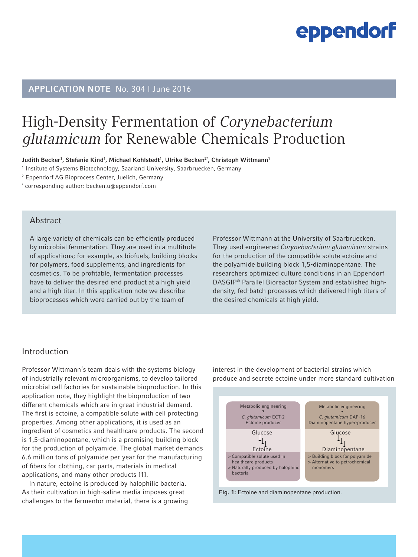# APPLICATION NOTE No. 304 I June 2016

# High-Density Fermentation of Corynebacterium glutamicum for Renewable Chemicals Production

Judith Becker<sup>1</sup>, Stefanie Kind<sup>1</sup>, Michael Kohlstedt<sup>1</sup>, Ulrike Becken<sup>2</sup>', Christoph Wittmann<sup>1</sup>

1 Institute of Systems Biotechnology, Saarland University, Saarbruecken, Germany

2 Eppendorf AG Bioprocess Center, Juelich, Germany

\* corresponding author: becken.u@eppendorf.com

### **Abstract**

A large variety of chemicals can be efficiently produced by microbial fermentation. They are used in a multitude of applications; for example, as biofuels, building blocks for polymers, food supplements, and ingredients for cosmetics. To be profitable, fermentation processes have to deliver the desired end product at a high yield and a high titer. In this application note we describe bioprocesses which were carried out by the team of

Professor Wittmann at the University of Saarbruecken. They used engineered *Corynebacterium glutamicum* strains for the production of the compatible solute ectoine and the polyamide building block 1,5-diaminopentane. The researchers optimized culture conditions in an Eppendorf DASGIP® Parallel Bioreactor System and established highdensity, fed-batch processes which delivered high titers of the desired chemicals at high yield.

### Introduction

Professor Wittmann's team deals with the systems biology of industrially relevant microorganisms, to develop tailored microbial cell factories for sustainable bioproduction. In this application note, they highlight the bioproduction of two different chemicals which are in great industrial demand. The first is ectoine, a compatible solute with cell protecting properties. Among other applications, it is used as an ingredient of cosmetics and healthcare products. The second is 1,5-diaminopentane, which is a promising building block for the production of polyamide. The global market demands 6.6 million tons of polyamide per year for the manufacturing of fibers for clothing, car parts, materials in medical applications, and many other products [1].

In nature, ectoine is produced by halophilic bacteria. As their cultivation in high-saline media imposes great challenges to the fermentor material, there is a growing interest in the development of bacterial strains which produce and secrete ectoine under more standard cultivation



Fig. 1: Ectoine and diaminopentane production.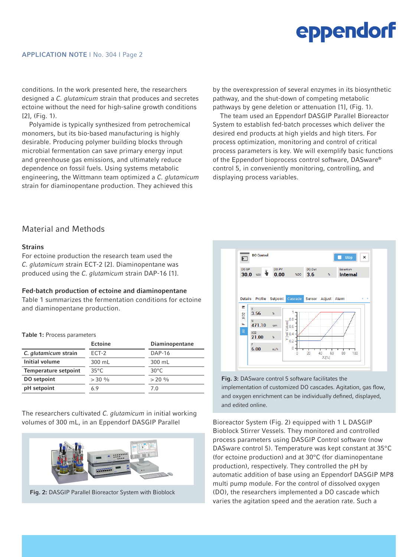conditions. In the work presented here, the researchers designed a *C. glutamicum* strain that produces and secretes ectoine without the need for high-saline growth conditions [2], (Fig. 1).

Polyamide is typically synthesized from petrochemical monomers, but its bio-based manufacturing is highly desirable. Producing polymer building blocks through microbial fermentation can save primary energy input and greenhouse gas emissions, and ultimately reduce dependence on fossil fuels. Using systems metabolic engineering, the Wittmann team optimized a *C. glutamicum* strain for diaminopentane production. They achieved this

by the overexpression of several enzymes in its biosynthetic pathway, and the shut-down of competing metabolic pathways by gene deletion or attenuation [1], (Fig. 1).

The team used an Eppendorf DASGIP Parallel Bioreactor System to establish fed-batch processes which deliver the desired end products at high yields and high titers. For process optimization, monitoring and control of critical process parameters is key. We will exemplify basic functions of the Eppendorf bioprocess control software, DASware® control 5, in conveniently monitoring, controlling, and displaying process variables.

## Material and Methods

#### **Strains**

For ectoine production the research team used the *C. glutamicum* strain ECT-2 [2]. Diaminopentane was produced using the *C. glutamicum* strain DAP-16 [1].

#### Fed-batch production of ectoine and diaminopentane

Table 1 summarizes the fermentation conditions for ectoine and diaminopentane production.

Table 1: Process parameters

|                             | Ectoine        | Diaminopentane |  |
|-----------------------------|----------------|----------------|--|
| C. glutamicum strain        | ECT-2          | $DAP-16$       |  |
| Initial volume              | 300 mL         | 300 mL         |  |
| <b>Temperature setpoint</b> | $35^{\circ}$ C | $30^{\circ}$ C |  |
| DO setpoint                 | $> 30\%$       | $> 20\%$       |  |
| pH setpoint                 | 6.9            | 70             |  |

The researchers cultivated *C. glutamicum* in initial working volumes of 300 mL, in an Eppendorf DASGIP Parallel Bioreactor System (Fig. 2) equipped with 1 L DASGIP



Fig. 2: DASGIP Parallel Bioreactor System with Bioblock



Fig. 3: DASware control 5 software facilitates the implementation of customized DO cascades. Agitation, gas flow, and oxygen enrichment can be individually defined, displayed, and edited online.

Bioblock Stirrer Vessels. They monitored and controlled process parameters using DASGIP Control software (now DASware control 5). Temperature was kept constant at 35°C (for ectoine production) and at 30°C (for diaminopentane production), respectively. They controlled the pH by automatic addition of base using an Eppendorf DASGIP MP8 multi pump module. For the control of dissolved oxygen (DO), the researchers implemented a DO cascade which varies the agitation speed and the aeration rate. Such a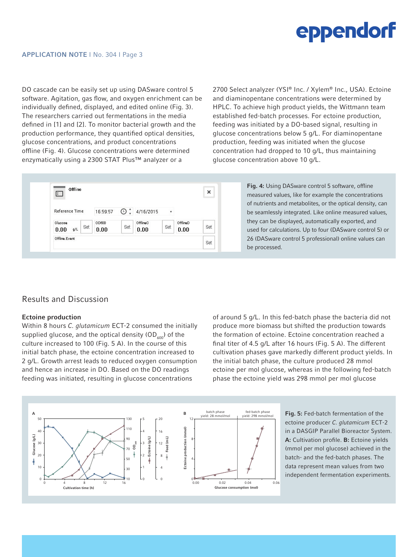DO cascade can be easily set up using DASware control 5 software. Agitation, gas flow, and oxygen enrichment can be individually defined, displayed, and edited online (Fig. 3). The researchers carried out fermentations in the media defined in [1] and [2]. To monitor bacterial growth and the production performance, they quantified optical densities, glucose concentrations, and product concentrations offline (Fig. 4). Glucose concentrations were determined enzymatically using a 2300 STAT Plus™ analyzer or a

2700 Select analyzer (YSI® Inc. / Xylem® Inc., USA). Ectoine and diaminopentane concentrations were determined by HPLC. To achieve high product yields, the Wittmann team established fed-batch processes. For ectoine production, feeding was initiated by a DO-based signal, resulting in glucose concentrations below 5 g/L. For diaminopentane production, feeding was initiated when the glucose concentration had dropped to 10 g/L, thus maintaining glucose concentration above 10 g/L.

| $\mathbf{I}$                  |               |          |                  |                        |                  | $\times$ |
|-------------------------------|---------------|----------|------------------|------------------------|------------------|----------|
| Reference Time                | 16:59:57      | $^{(+)}$ | 4/16/2015        | ٠                      |                  |          |
| Glucose<br>Set<br>0.00<br>g/L | OD6DD<br>0.00 | Set      | OfflineC<br>0.00 | <b>CONTRACT</b><br>Set | OfflineD<br>0.00 | Set      |
| Offline. Event                |               |          |                  |                        |                  | Set      |

Fig. 4: Using DASware control 5 software, offline measured values, like for example the concentrations of nutrients and metabolites, or the optical density, can be seamlessly integrated. Like online measured values, they can be displayed, automatically exported, and used for calculations. Up to four (DASware control 5) or 26 (DASware control 5 professional) online values can be processed.

### Results and Discussion

#### Ectoine production

Within 8 hours *C. glutamicum* ECT-2 consumed the initially supplied glucose, and the optical density  $(OD<sub>600</sub>)$  of the culture increased to 100 (Fig. 5 A). In the course of this initial batch phase, the ectoine concentration increased to 2 g/L. Growth arrest leads to reduced oxygen consumption and hence an increase in DO. Based on the DO readings feeding was initiated, resulting in glucose concentrations

of around 5 g/L. In this fed-batch phase the bacteria did not produce more biomass but shifted the production towards the formation of ectoine. Ectoine concentration reached a final titer of 4.5 g/L after 16 hours (Fig. 5 A). The different cultivation phases gave markedly different product yields. In the initial batch phase, the culture produced 28 mmol ectoine per mol glucose, whereas in the following fed-batch phase the ectoine yield was 298 mmol per mol glucose



ectoine producer *C. glutamicum* ECT-2 in a DASGIP Parallel Bioreactor System. A: Cultivation profile. B: Ectoine yields (mmol per mol glucose) achieved in the batch- and the fed-batch phases. The data represent mean values from two independent fermentation experiments.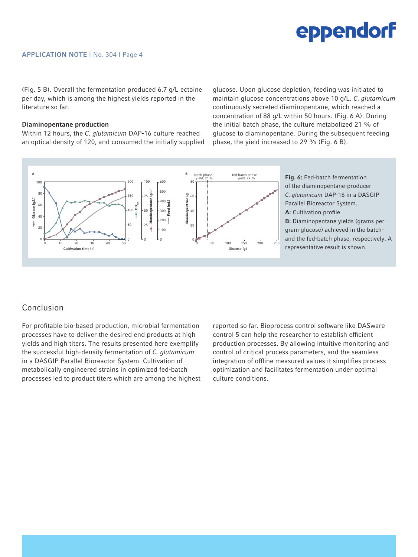(Fig. 5 B). Overall the fermentation produced 6.7 g/L ectoine per day, which is among the highest yields reported in the literature so far.

#### Diaminopentane production

Within 12 hours, the *C. glutamicum* DAP-16 culture reached an optical density of 120, and consumed the initially supplied glucose. Upon glucose depletion, feeding was initiated to maintain glucose concentrations above 10 g/L. *C. glutamicum* continuously secreted diaminopentane, which reached a concentration of 88 g/L within 50 hours. (Fig. 6 A). During the initial batch phase, the culture metabolized 21 % of glucose to diaminopentane. During the subsequent feeding phase, the yield increased to 29 % (Fig. 6 B).



### Conclusion

For profitable bio-based production, microbial fermentation processes have to deliver the desired end products at high yields and high titers. The results presented here exemplify the successful high-density fermentation of *C. glutamicum*  in a DASGIP Parallel Bioreactor System. Cultivation of metabolically engineered strains in optimized fed-batch processes led to product titers which are among the highest reported so far. Bioprocess control software like DASware control 5 can help the researcher to establish efficient production processes. By allowing intuitive monitoring and control of critical process parameters, and the seamless integration of offline measured values it simplifies process optimization and facilitates fermentation under optimal culture conditions.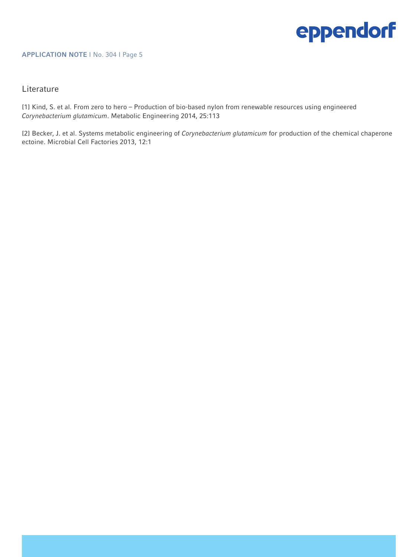#### APPLICATION NOTE I No. 304 I Page 5

### **Literature**

[1] Kind, S. et al. From zero to hero – Production of bio-based nylon from renewable resources using engineered *Corynebacterium glutamicum*. Metabolic Engineering 2014, 25:113

[2] Becker, J. et al. Systems metabolic engineering of *Corynebacterium glutamicum* for production of the chemical chaperone ectoine. Microbial Cell Factories 2013, 12:1